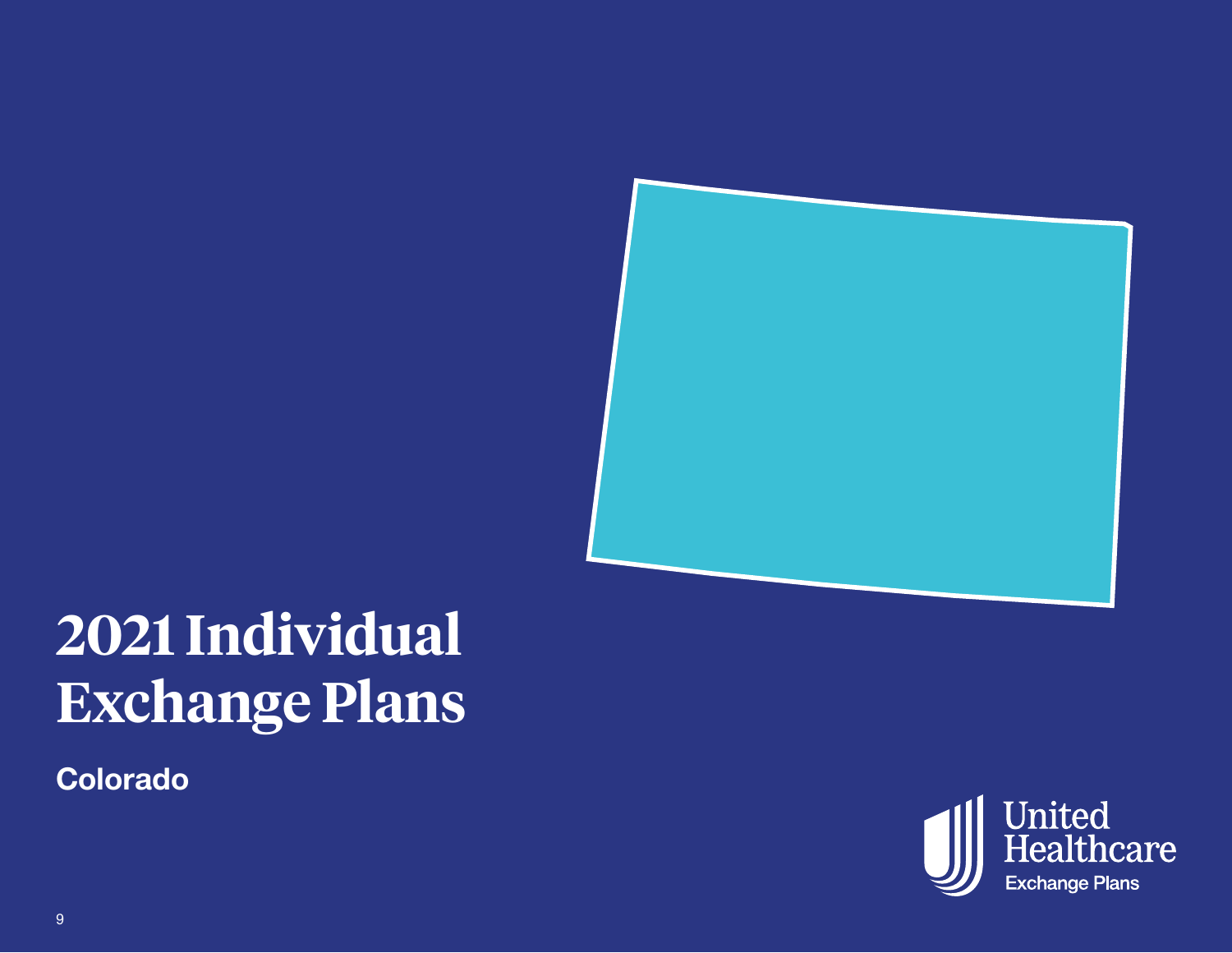

# **2021 Individual Exchange Plans**

**Colorado** 

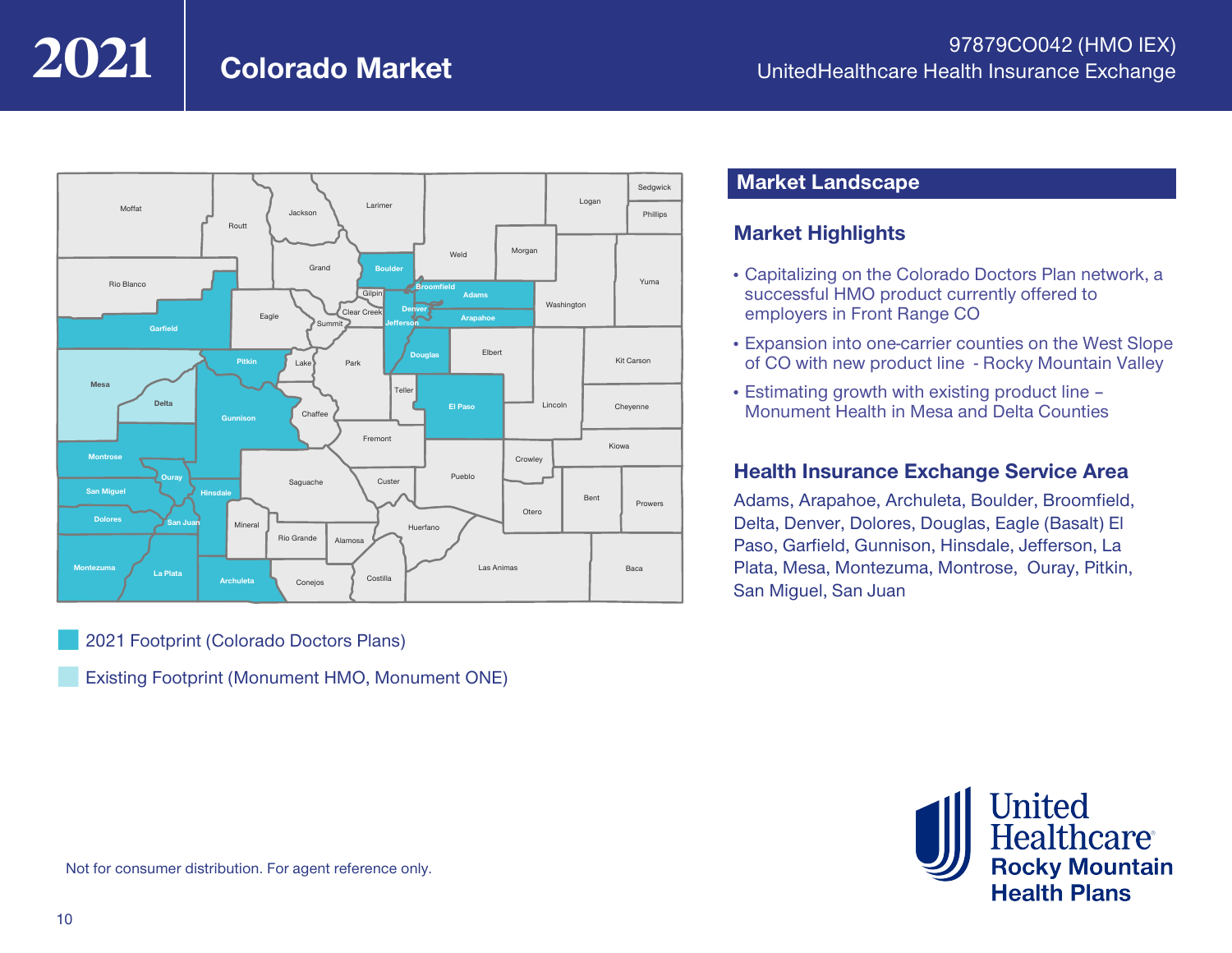## **Colorado Market**



¢ 2021 Footprint (Colorado Doctors Plans)

¢ Existing Footprint (Monument HMO, Monument ONE)

#### **Market Landscape**

#### **Market Highlights**

- Capitalizing on the Colorado Doctors Plan network, a successful HMO product currently offered to employers in Front Range CO
- Expansion into one-carrier counties on the West Slope of CO with new product line - Rocky Mountain Valley
- Estimating growth with existing product line Monument Health in Mesa and Delta Counties

#### **Health Insurance Exchange Service Area**

Adams, Arapahoe, Archuleta, Boulder, Broomfield, Delta, Denver, Dolores, Douglas, Eagle (Basalt) El Paso, Garfield, Gunnison, Hinsdale, Jefferson, La Plata, Mesa, Montezuma, Montrose, Ouray, Pitkin, San Miguel, San Juan



Not for consumer distribution. For agent reference only.